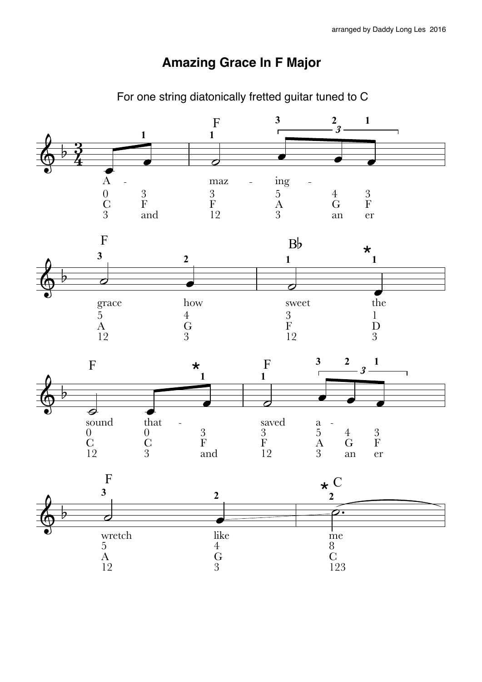## **Amazing Grace In F Major**

For one string diatonically fretted guitar tuned to C